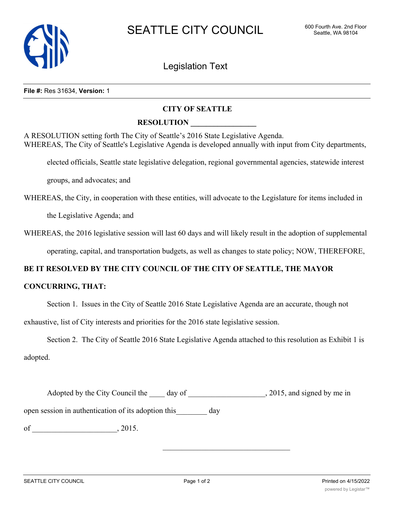

Legislation Text

#### **File #:** Res 31634, **Version:** 1

# **CITY OF SEATTLE**

### **RESOLUTION \_\_\_\_\_\_\_\_\_\_\_\_\_\_\_\_\_**

A RESOLUTION setting forth The City of Seattle's 2016 State Legislative Agenda. WHEREAS, The City of Seattle's Legislative Agenda is developed annually with input from City departments,

elected officials, Seattle state legislative delegation, regional governmental agencies, statewide interest

groups, and advocates; and

WHEREAS, the City, in cooperation with these entities, will advocate to the Legislature for items included in

the Legislative Agenda; and

WHEREAS, the 2016 legislative session will last 60 days and will likely result in the adoption of supplemental

operating, capital, and transportation budgets, as well as changes to state policy; NOW, THEREFORE,

# **BE IT RESOLVED BY THE CITY COUNCIL OF THE CITY OF SEATTLE, THE MAYOR**

# **CONCURRING, THAT:**

Section 1. Issues in the City of Seattle 2016 State Legislative Agenda are an accurate, though not

exhaustive, list of City interests and priorities for the 2016 state legislative session.

Section 2. The City of Seattle 2016 State Legislative Agenda attached to this resolution as Exhibit 1 is adopted.

| 2015, and signed by me in |
|---------------------------|
|                           |

open session in authentication of its adoption this day

of \_\_\_\_\_\_\_\_\_\_\_\_\_\_\_\_\_\_\_\_\_\_, 2015.